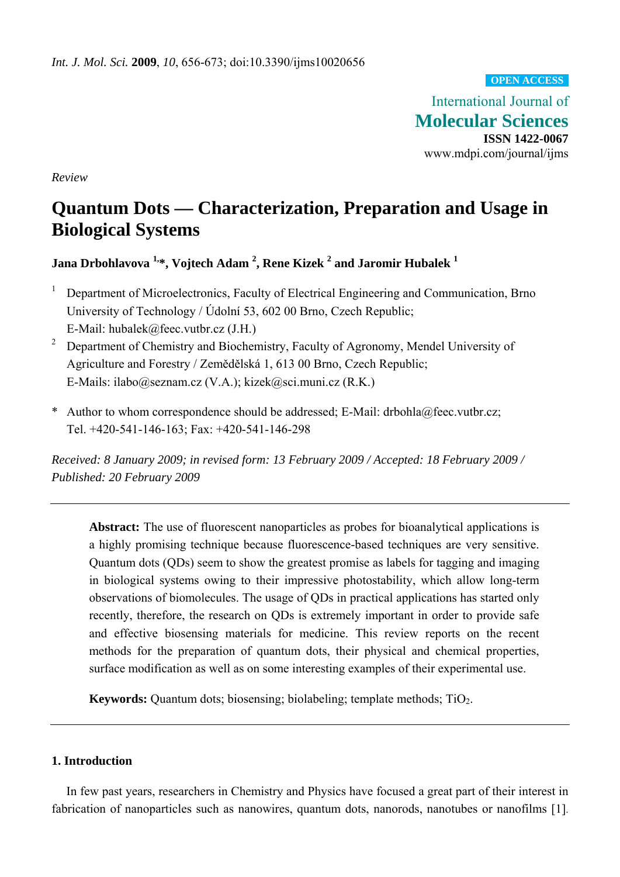**OPEN ACCESS**

International Journal of **Molecular Sciences ISSN 1422-0067**  www.mdpi.com/journal/ijms

*Review* 

# **Quantum Dots — Characterization, Preparation and Usage in Biological Systems**

<code>Jana Drbohlavova  $^{1,\ast}$ , Vojtech Adam  $^{2}$ , Rene Kizek  $^{2}$  and Jaromir Hubalek  $^{1}$ </code>

- 1 Department of Microelectronics, Faculty of Electrical Engineering and Communication, Brno University of Technology / Údolní 53, 602 00 Brno, Czech Republic; E-Mail: hubalek@feec.vutbr.cz (J.H.)
- 2 Department of Chemistry and Biochemistry, Faculty of Agronomy, Mendel University of Agriculture and Forestry / Zemědělská 1, 613 00 Brno, Czech Republic; E-Mails: ilabo@seznam.cz (V.A.); kizek@sci.muni.cz (R.K.)
- \* Author to whom correspondence should be addressed; E-Mail: drbohla@feec.vutbr.cz; Tel. +420-541-146-163; Fax: +420-541-146-298

*Received: 8 January 2009; in revised form: 13 February 2009 / Accepted: 18 February 2009 / Published: 20 February 2009* 

Abstract: The use of fluorescent nanoparticles as probes for bioanalytical applications is a highly promising technique because fluorescence-based techniques are very sensitive. Quantum dots (QDs) seem to show the greatest promise as labels for tagging and imaging in biological systems owing to their impressive photostability, which allow long-term observations of biomolecules. The usage of QDs in practical applications has started only recently, therefore, the research on QDs is extremely important in order to provide safe and effective biosensing materials for medicine. This review reports on the recent methods for the preparation of quantum dots, their physical and chemical properties, surface modification as well as on some interesting examples of their experimental use.

**Keywords:** Quantum dots; biosensing; biolabeling; template methods; TiO<sub>2</sub>.

# **1. Introduction**

In few past years, researchers in Chemistry and Physics have focused a great part of their interest in fabrication of nanoparticles such as nanowires, quantum dots, nanorods, nanotubes or nanofilms [1].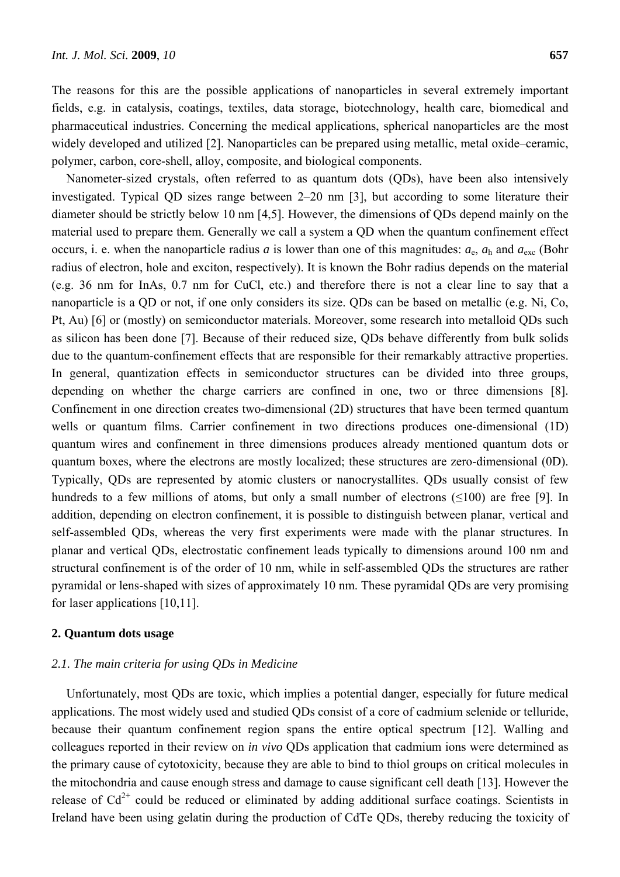The reasons for this are the possible applications of nanoparticles in several extremely important fields, e.g. in catalysis, coatings, textiles, data storage, biotechnology, health care, biomedical and pharmaceutical industries. Concerning the medical applications, spherical nanoparticles are the most widely developed and utilized [2]. Nanoparticles can be prepared using metallic, metal oxide–ceramic, polymer, carbon, core-shell, alloy, composite, and biological components.

Nanometer-sized crystals, often referred to as quantum dots (QDs), have been also intensively investigated. Typical QD sizes range between 2–20 nm [3], but according to some literature their diameter should be strictly below 10 nm [4,5]. However, the dimensions of QDs depend mainly on the material used to prepare them. Generally we call a system a QD when the quantum confinement effect occurs, i. e. when the nanoparticle radius *a* is lower than one of this magnitudes:  $a_e$ ,  $a_h$  and  $a_{exc}$  (Bohr radius of electron, hole and exciton, respectively). It is known the Bohr radius depends on the material (e.g. 36 nm for InAs, 0.7 nm for CuCl, etc.) and therefore there is not a clear line to say that a nanoparticle is a QD or not, if one only considers its size. QDs can be based on metallic (e.g. Ni, Co, Pt, Au) [6] or (mostly) on semiconductor materials. Moreover, some research into metalloid QDs such as silicon has been done [7]. Because of their reduced size, QDs behave differently from bulk solids due to the quantum-confinement effects that are responsible for their remarkably attractive properties. In general, quantization effects in semiconductor structures can be divided into three groups, depending on whether the charge carriers are confined in one, two or three dimensions [8]. Confinement in one direction creates two-dimensional (2D) structures that have been termed quantum wells or quantum films. Carrier confinement in two directions produces one-dimensional (1D) quantum wires and confinement in three dimensions produces already mentioned quantum dots or quantum boxes, where the electrons are mostly localized; these structures are zero-dimensional (0D). Typically, QDs are represented by atomic clusters or nanocrystallites. QDs usually consist of few hundreds to a few millions of atoms, but only a small number of electrons  $(\leq 100)$  are free [9]. In addition, depending on electron confinement, it is possible to distinguish between planar, vertical and self-assembled QDs, whereas the very first experiments were made with the planar structures. In planar and vertical QDs, electrostatic confinement leads typically to dimensions around 100 nm and structural confinement is of the order of 10 nm, while in self-assembled QDs the structures are rather pyramidal or lens-shaped with sizes of approximately 10 nm. These pyramidal QDs are very promising for laser applications [10,11].

# **2. Quantum dots usage**

#### *2.1. The main criteria for using QDs in Medicine*

Unfortunately, most QDs are toxic, which implies a potential danger, especially for future medical applications. The most widely used and studied QDs consist of a core of cadmium selenide or telluride, because their quantum confinement region spans the entire optical spectrum [12]. Walling and colleagues reported in their review on *in vivo* QDs application that cadmium ions were determined as the primary cause of cytotoxicity, because they are able to bind to thiol groups on critical molecules in the mitochondria and cause enough stress and damage to cause significant cell death [13]. However the release of  $Cd^{2+}$  could be reduced or eliminated by adding additional surface coatings. Scientists in Ireland have been using gelatin during the production of CdTe QDs, thereby reducing the toxicity of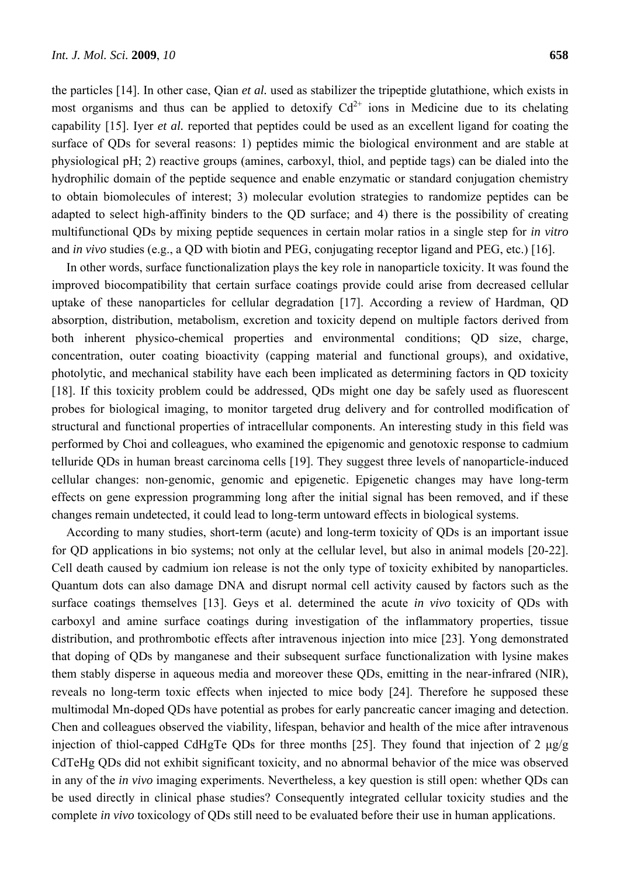the particles [14]. In other case, Qian *et al.* used as stabilizer the tripeptide glutathione, which exists in most organisms and thus can be applied to detoxify  $Cd^{2+}$  ions in Medicine due to its chelating capability [15]. Iyer *et al.* reported that peptides could be used as an excellent ligand for coating the surface of QDs for several reasons: 1) peptides mimic the biological environment and are stable at physiological pH; 2) reactive groups (amines, carboxyl, thiol, and peptide tags) can be dialed into the hydrophilic domain of the peptide sequence and enable enzymatic or standard conjugation chemistry to obtain biomolecules of interest; 3) molecular evolution strategies to randomize peptides can be adapted to select high-affinity binders to the QD surface; and 4) there is the possibility of creating multifunctional QDs by mixing peptide sequences in certain molar ratios in a single step for *in vitro* and *in vivo* studies (e.g., a QD with biotin and PEG, conjugating receptor ligand and PEG, etc.) [16].

In other words, surface functionalization plays the key role in nanoparticle toxicity. It was found the improved biocompatibility that certain surface coatings provide could arise from decreased cellular uptake of these nanoparticles for cellular degradation [17]. According a review of Hardman, QD absorption, distribution, metabolism, excretion and toxicity depend on multiple factors derived from both inherent physico-chemical properties and environmental conditions; QD size, charge, concentration, outer coating bioactivity (capping material and functional groups), and oxidative, photolytic, and mechanical stability have each been implicated as determining factors in QD toxicity [18]. If this toxicity problem could be addressed, QDs might one day be safely used as fluorescent probes for biological imaging, to monitor targeted drug delivery and for controlled modification of structural and functional properties of intracellular components. An interesting study in this field was performed by Choi and colleagues, who examined the epigenomic and genotoxic response to cadmium telluride QDs in human breast carcinoma cells [19]. They suggest three levels of nanoparticle-induced cellular changes: non-genomic, genomic and epigenetic. Epigenetic changes may have long-term effects on gene expression programming long after the initial signal has been removed, and if these changes remain undetected, it could lead to long-term untoward effects in biological systems.

According to many studies, short-term (acute) and long-term toxicity of QDs is an important issue for QD applications in bio systems; not only at the cellular level, but also in animal models [20-22]. Cell death caused by cadmium ion release is not the only type of toxicity exhibited by nanoparticles. Quantum dots can also damage DNA and disrupt normal cell activity caused by factors such as the surface coatings themselves [13]. Geys et al. determined the acute *in vivo* toxicity of QDs with carboxyl and amine surface coatings during investigation of the inflammatory properties, tissue distribution, and prothrombotic effects after intravenous injection into mice [23]. Yong demonstrated that doping of QDs by manganese and their subsequent surface functionalization with lysine makes them stably disperse in aqueous media and moreover these QDs, emitting in the near-infrared (NIR), reveals no long-term toxic effects when injected to mice body [24]. Therefore he supposed these multimodal Mn-doped QDs have potential as probes for early pancreatic cancer imaging and detection. Chen and colleagues observed the viability, lifespan, behavior and health of the mice after intravenous injection of thiol-capped CdHgTe QDs for three months [25]. They found that injection of 2 μg/g CdTeHg QDs did not exhibit significant toxicity, and no abnormal behavior of the mice was observed in any of the *in vivo* imaging experiments. Nevertheless, a key question is still open: whether QDs can be used directly in clinical phase studies? Consequently integrated cellular toxicity studies and the complete *in vivo* toxicology of QDs still need to be evaluated before their use in human applications.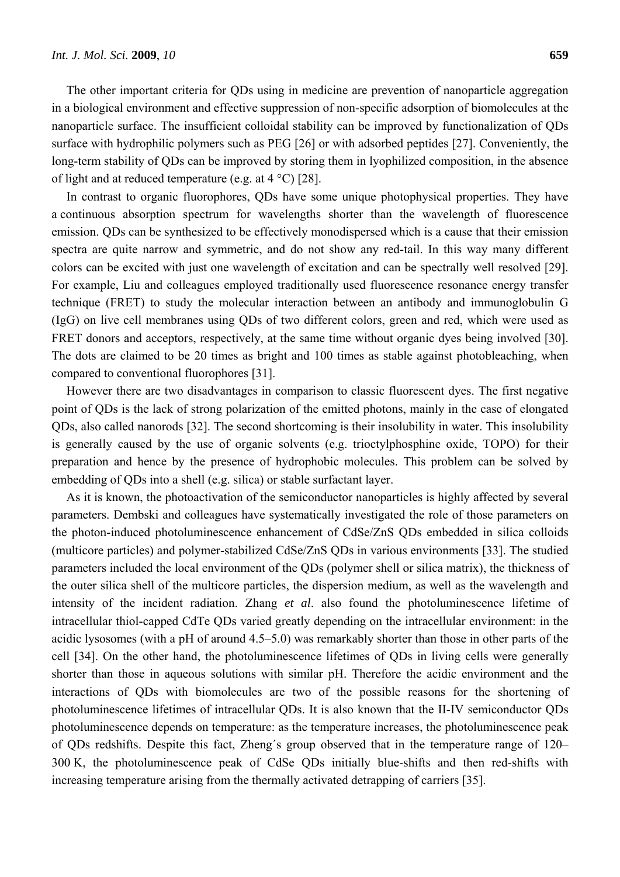The other important criteria for QDs using in medicine are prevention of nanoparticle aggregation in a biological environment and effective suppression of non-specific adsorption of biomolecules at the nanoparticle surface. The insufficient colloidal stability can be improved by functionalization of QDs surface with hydrophilic polymers such as PEG [26] or with adsorbed peptides [27]. Conveniently, the long-term stability of QDs can be improved by storing them in lyophilized composition, in the absence of light and at reduced temperature (e.g. at 4 °C) [28].

In contrast to organic fluorophores, QDs have some unique photophysical properties. They have a continuous absorption spectrum for wavelengths shorter than the wavelength of fluorescence emission. QDs can be synthesized to be effectively monodispersed which is a cause that their emission spectra are quite narrow and symmetric, and do not show any red-tail. In this way many different colors can be excited with just one wavelength of excitation and can be spectrally well resolved [29]. For example, Liu and colleagues employed traditionally used fluorescence resonance energy transfer technique (FRET) to study the molecular interaction between an antibody and immunoglobulin G (IgG) on live cell membranes using QDs of two different colors, green and red, which were used as FRET donors and acceptors, respectively, at the same time without organic dyes being involved [30]. The dots are claimed to be 20 times as bright and 100 times as stable against photobleaching, when compared to conventional fluorophores [31].

However there are two disadvantages in comparison to classic fluorescent dyes. The first negative point of QDs is the lack of strong polarization of the emitted photons, mainly in the case of elongated QDs, also called nanorods [32]. The second shortcoming is their insolubility in water. This insolubility is generally caused by the use of organic solvents (e.g. trioctylphosphine oxide, TOPO) for their preparation and hence by the presence of hydrophobic molecules. This problem can be solved by embedding of QDs into a shell (e.g. silica) or stable surfactant layer.

As it is known, the photoactivation of the semiconductor nanoparticles is highly affected by several parameters. Dembski and colleagues have systematically investigated the role of those parameters on the photon-induced photoluminescence enhancement of CdSe/ZnS QDs embedded in silica colloids (multicore particles) and polymer-stabilized CdSe/ZnS QDs in various environments [33]. The studied parameters included the local environment of the QDs (polymer shell or silica matrix), the thickness of the outer silica shell of the multicore particles, the dispersion medium, as well as the wavelength and intensity of the incident radiation. Zhang *et al*. also found the photoluminescence lifetime of intracellular thiol-capped CdTe QDs varied greatly depending on the intracellular environment: in the acidic lysosomes (with a pH of around 4.5–5.0) was remarkably shorter than those in other parts of the cell [34]. On the other hand, the photoluminescence lifetimes of QDs in living cells were generally shorter than those in aqueous solutions with similar pH. Therefore the acidic environment and the interactions of QDs with biomolecules are two of the possible reasons for the shortening of photoluminescence lifetimes of intracellular QDs. It is also known that the II-IV semiconductor QDs photoluminescence depends on temperature: as the temperature increases, the photoluminescence peak of QDs redshifts. Despite this fact, Zheng´s group observed that in the temperature range of 120– 300 K, the photoluminescence peak of CdSe QDs initially blue-shifts and then red-shifts with increasing temperature arising from the thermally activated detrapping of carriers [35].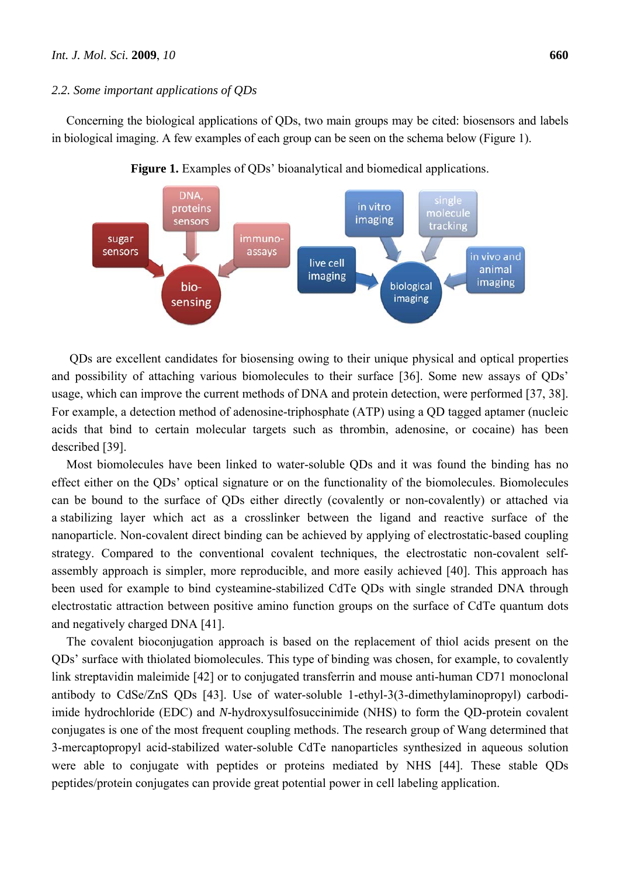#### *2.2. Some important applications of QDs*

Concerning the biological applications of QDs, two main groups may be cited: biosensors and labels in biological imaging. A few examples of each group can be seen on the schema below (Figure 1).



**Figure 1.** Examples of ODs' bioanalytical and biomedical applications.

 QDs are excellent candidates for biosensing owing to their unique physical and optical properties and possibility of attaching various biomolecules to their surface [36]. Some new assays of QDs' usage, which can improve the current methods of DNA and protein detection, were performed [37, 38]. For example, a detection method of adenosine-triphosphate (ATP) using a QD tagged aptamer (nucleic acids that bind to certain molecular targets such as thrombin, adenosine, or cocaine) has been described [39].

Most biomolecules have been linked to water-soluble QDs and it was found the binding has no effect either on the QDs' optical signature or on the functionality of the biomolecules. Biomolecules can be bound to the surface of QDs either directly (covalently or non-covalently) or attached via a stabilizing layer which act as a crosslinker between the ligand and reactive surface of the nanoparticle. Non-covalent direct binding can be achieved by applying of electrostatic-based coupling strategy. Compared to the conventional covalent techniques, the electrostatic non-covalent selfassembly approach is simpler, more reproducible, and more easily achieved [40]. This approach has been used for example to bind cysteamine-stabilized CdTe QDs with single stranded DNA through electrostatic attraction between positive amino function groups on the surface of CdTe quantum dots and negatively charged DNA [41].

The covalent bioconjugation approach is based on the replacement of thiol acids present on the QDs' surface with thiolated biomolecules. This type of binding was chosen, for example, to covalently link streptavidin maleimide [42] or to conjugated transferrin and mouse anti-human CD71 monoclonal antibody to CdSe/ZnS QDs [43]. Use of water-soluble 1-ethyl-3(3-dimethylaminopropyl) carbodiimide hydrochloride (EDC) and *N*-hydroxysulfosuccinimide (NHS) to form the QD-protein covalent conjugates is one of the most frequent coupling methods. The research group of Wang determined that 3-mercaptopropyl acid-stabilized water-soluble CdTe nanoparticles synthesized in aqueous solution were able to conjugate with peptides or proteins mediated by NHS [44]. These stable QDs peptides/protein conjugates can provide great potential power in cell labeling application.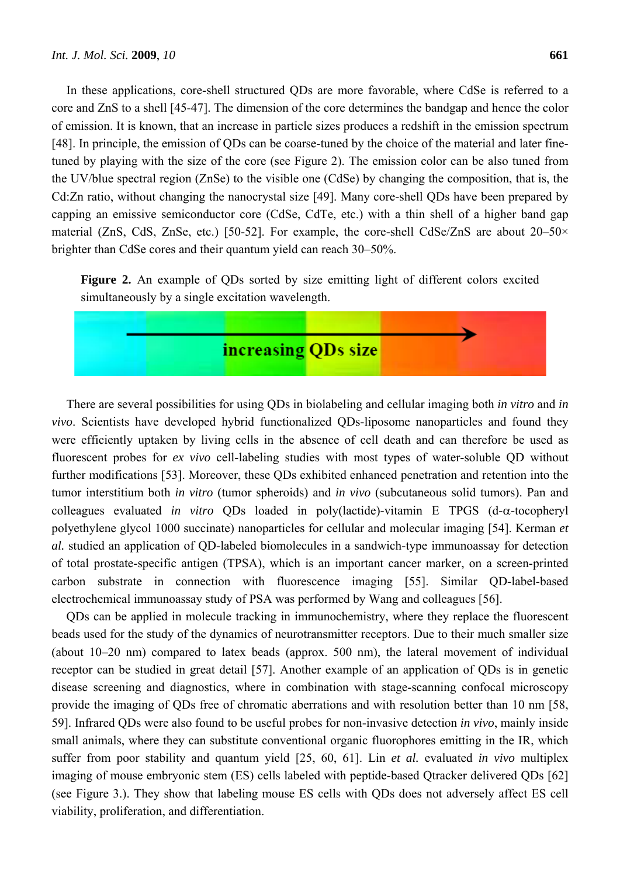In these applications, core-shell structured QDs are more favorable, where CdSe is referred to a core and ZnS to a shell [45-47]. The dimension of the core determines the bandgap and hence the color of emission. It is known, that an increase in particle sizes produces a redshift in the emission spectrum [48]. In principle, the emission of ODs can be coarse-tuned by the choice of the material and later finetuned by playing with the size of the core (see Figure 2). The emission color can be also tuned from the UV/blue spectral region (ZnSe) to the visible one (CdSe) by changing the composition, that is, the Cd:Zn ratio, without changing the nanocrystal size [49]. Many core-shell QDs have been prepared by capping an emissive semiconductor core (CdSe, CdTe, etc.) with a thin shell of a higher band gap material (ZnS, CdS, ZnSe, etc.) [50-52]. For example, the core-shell CdSe/ZnS are about 20–50× brighter than CdSe cores and their quantum yield can reach 30–50%.

**Figure 2.** An example of QDs sorted by size emitting light of different colors excited simultaneously by a single excitation wavelength.



There are several possibilities for using QDs in biolabeling and cellular imaging both *in vitro* and *in vivo*. Scientists have developed hybrid functionalized QDs-liposome nanoparticles and found they were efficiently uptaken by living cells in the absence of cell death and can therefore be used as fluorescent probes for *ex vivo* cell-labeling studies with most types of water-soluble QD without further modifications [53]. Moreover, these QDs exhibited enhanced penetration and retention into the tumor interstitium both *in vitro* (tumor spheroids) and *in vivo* (subcutaneous solid tumors). Pan and colleagues evaluated *in vitro* QDs loaded in poly(lactide)-vitamin E TPGS (d-α-tocopheryl polyethylene glycol 1000 succinate) nanoparticles for cellular and molecular imaging [54]. Kerman *et al.* studied an application of QD-labeled biomolecules in a sandwich-type immunoassay for detection of total prostate-specific antigen (TPSA), which is an important cancer marker, on a screen-printed carbon substrate in connection with fluorescence imaging [55]. Similar QD-label-based electrochemical immunoassay study of PSA was performed by Wang and colleagues [56].

QDs can be applied in molecule tracking in immunochemistry, where they replace the fluorescent beads used for the study of the dynamics of neurotransmitter receptors. Due to their much smaller size (about 10–20 nm) compared to latex beads (approx. 500 nm), the lateral movement of individual receptor can be studied in great detail [57]. Another example of an application of QDs is in genetic disease screening and diagnostics, where in combination with stage-scanning confocal microscopy provide the imaging of QDs free of chromatic aberrations and with resolution better than 10 nm [58, 59]. Infrared QDs were also found to be useful probes for non-invasive detection *in vivo*, mainly inside small animals, where they can substitute conventional organic fluorophores emitting in the IR, which suffer from poor stability and quantum yield [25, 60, 61]. Lin *et al.* evaluated *in vivo* multiplex imaging of mouse embryonic stem (ES) cells labeled with peptide-based Qtracker delivered QDs [62] (see Figure 3.). They show that labeling mouse ES cells with QDs does not adversely affect ES cell viability, proliferation, and differentiation.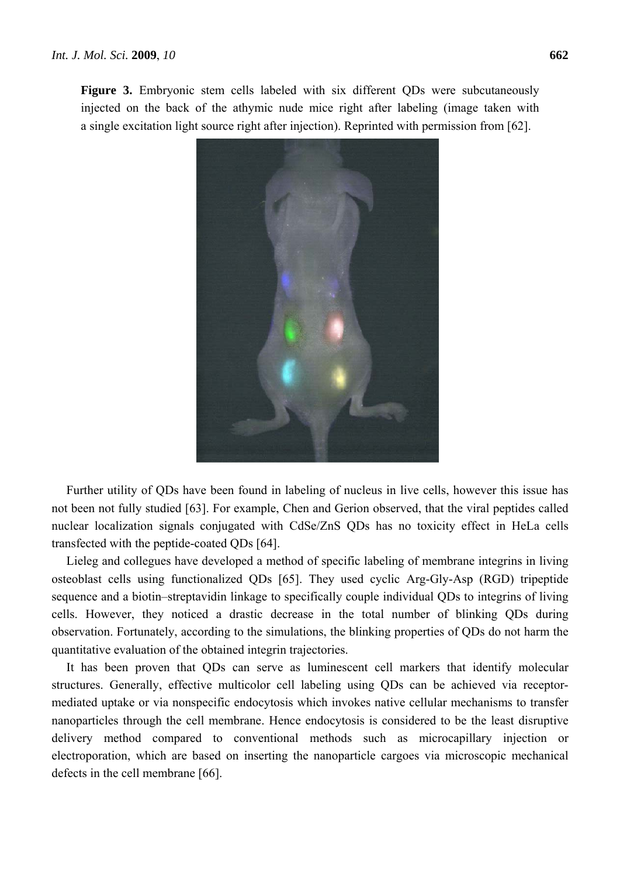Figure 3. Embryonic stem cells labeled with six different QDs were subcutaneously injected on the back of the athymic nude mice right after labeling (image taken with a single excitation light source right after injection). Reprinted with permission from [62].



Further utility of QDs have been found in labeling of nucleus in live cells, however this issue has not been not fully studied [63]. For example, Chen and Gerion observed, that the viral peptides called nuclear localization signals conjugated with CdSe/ZnS QDs has no toxicity effect in HeLa cells transfected with the peptide-coated QDs [64].

Lieleg and collegues have developed a method of specific labeling of membrane integrins in living osteoblast cells using functionalized QDs [65]. They used cyclic Arg-Gly-Asp (RGD) tripeptide sequence and a biotin–streptavidin linkage to specifically couple individual QDs to integrins of living cells. However, they noticed a drastic decrease in the total number of blinking QDs during observation. Fortunately, according to the simulations, the blinking properties of QDs do not harm the quantitative evaluation of the obtained integrin trajectories.

It has been proven that QDs can serve as luminescent cell markers that identify molecular structures. Generally, effective multicolor cell labeling using QDs can be achieved via receptormediated uptake or via nonspecific endocytosis which invokes native cellular mechanisms to transfer nanoparticles through the cell membrane. Hence endocytosis is considered to be the least disruptive delivery method compared to conventional methods such as microcapillary injection or electroporation, which are based on inserting the nanoparticle cargoes via microscopic mechanical defects in the cell membrane [66].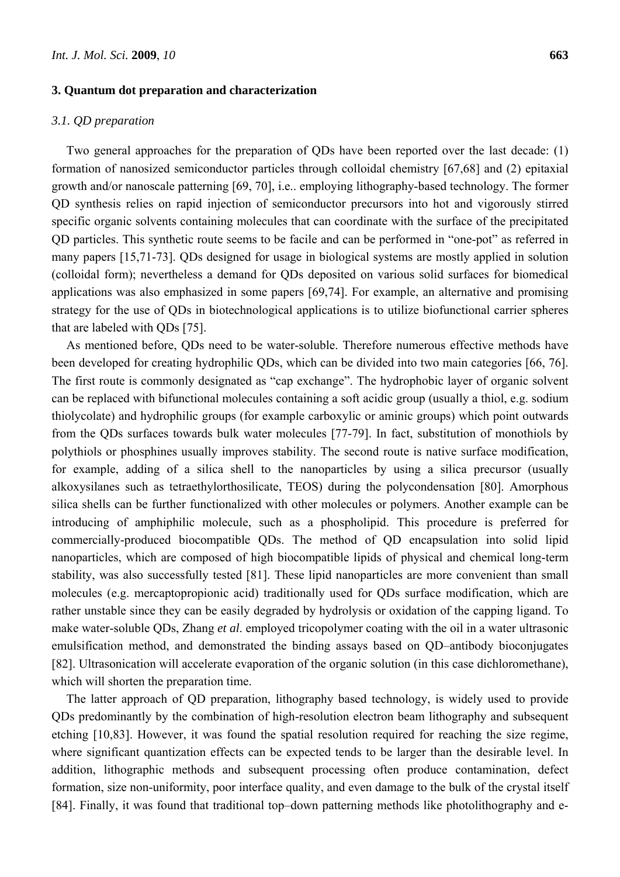# **3. Quantum dot preparation and characterization**

# *3.1. QD preparation*

Two general approaches for the preparation of QDs have been reported over the last decade: (1) formation of nanosized semiconductor particles through colloidal chemistry [67,68] and (2) epitaxial growth and/or nanoscale patterning [69, 70], i.e.. employing lithography-based technology. The former QD synthesis relies on rapid injection of semiconductor precursors into hot and vigorously stirred specific organic solvents containing molecules that can coordinate with the surface of the precipitated QD particles. This synthetic route seems to be facile and can be performed in "one-pot" as referred in many papers [15,71-73]. QDs designed for usage in biological systems are mostly applied in solution (colloidal form); nevertheless a demand for QDs deposited on various solid surfaces for biomedical applications was also emphasized in some papers [69,74]. For example, an alternative and promising strategy for the use of QDs in biotechnological applications is to utilize biofunctional carrier spheres that are labeled with QDs [75].

As mentioned before, QDs need to be water-soluble. Therefore numerous effective methods have been developed for creating hydrophilic QDs, which can be divided into two main categories [66, 76]. The first route is commonly designated as "cap exchange". The hydrophobic layer of organic solvent can be replaced with bifunctional molecules containing a soft acidic group (usually a thiol, e.g. sodium thiolycolate) and hydrophilic groups (for example carboxylic or aminic groups) which point outwards from the QDs surfaces towards bulk water molecules [77-79]. In fact, substitution of monothiols by polythiols or phosphines usually improves stability. The second route is native surface modification, for example, adding of a silica shell to the nanoparticles by using a silica precursor (usually alkoxysilanes such as tetraethylorthosilicate, TEOS) during the polycondensation [80]. Amorphous silica shells can be further functionalized with other molecules or polymers. Another example can be introducing of amphiphilic molecule, such as a phospholipid. This procedure is preferred for commercially-produced biocompatible QDs. The method of QD encapsulation into solid lipid nanoparticles, which are composed of high biocompatible lipids of physical and chemical long-term stability, was also successfully tested [81]. These lipid nanoparticles are more convenient than small molecules (e.g. mercaptopropionic acid) traditionally used for QDs surface modification, which are rather unstable since they can be easily degraded by hydrolysis or oxidation of the capping ligand. To make water-soluble QDs, Zhang *et al*. employed tricopolymer coating with the oil in a water ultrasonic emulsification method, and demonstrated the binding assays based on QD–antibody bioconjugates [82]. Ultrasonication will accelerate evaporation of the organic solution (in this case dichloromethane), which will shorten the preparation time.

The latter approach of QD preparation, lithography based technology, is widely used to provide QDs predominantly by the combination of high-resolution electron beam lithography and subsequent etching [10,83]. However, it was found the spatial resolution required for reaching the size regime, where significant quantization effects can be expected tends to be larger than the desirable level. In addition, lithographic methods and subsequent processing often produce contamination, defect formation, size non-uniformity, poor interface quality, and even damage to the bulk of the crystal itself [84]. Finally, it was found that traditional top–down patterning methods like photolithography and e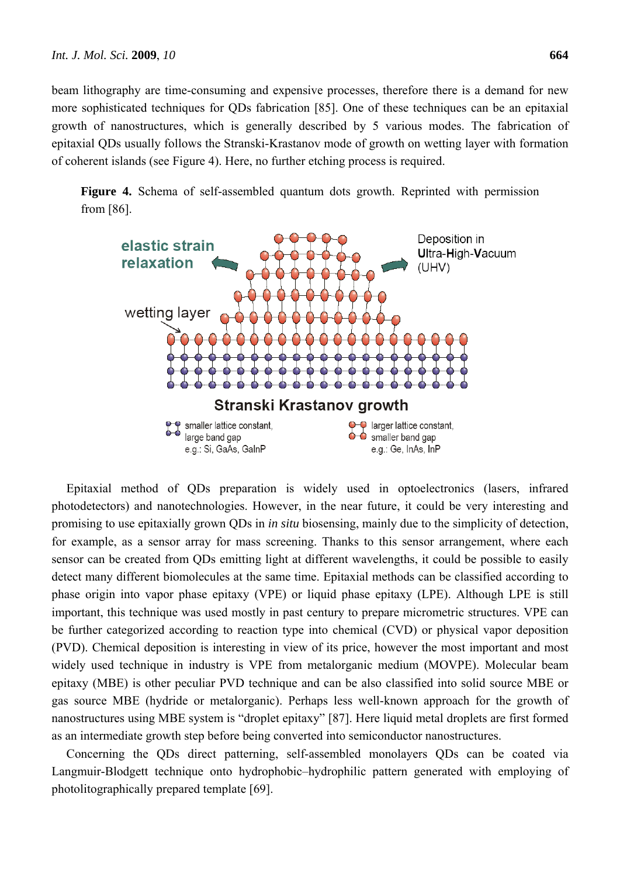beam lithography are time-consuming and expensive processes, therefore there is a demand for new more sophisticated techniques for QDs fabrication [85]. One of these techniques can be an epitaxial growth of nanostructures, which is generally described by 5 various modes. The fabrication of epitaxial QDs usually follows the Stranski-Krastanov mode of growth on wetting layer with formation of coherent islands (see Figure 4). Here, no further etching process is required.





Epitaxial method of QDs preparation is widely used in optoelectronics (lasers, infrared photodetectors) and nanotechnologies. However, in the near future, it could be very interesting and promising to use epitaxially grown QDs in *in situ* biosensing, mainly due to the simplicity of detection, for example, as a sensor array for mass screening. Thanks to this sensor arrangement, where each sensor can be created from QDs emitting light at different wavelengths, it could be possible to easily detect many different biomolecules at the same time. Epitaxial methods can be classified according to phase origin into vapor phase epitaxy (VPE) or liquid phase epitaxy (LPE). Although LPE is still important, this technique was used mostly in past century to prepare micrometric structures. VPE can be further categorized according to reaction type into chemical (CVD) or physical vapor deposition (PVD). Chemical deposition is interesting in view of its price, however the most important and most widely used technique in industry is VPE from metalorganic medium (MOVPE). Molecular beam epitaxy (MBE) is other peculiar PVD technique and can be also classified into solid source MBE or gas source MBE (hydride or metalorganic). Perhaps less well-known approach for the growth of nanostructures using MBE system is "droplet epitaxy" [87]. Here liquid metal droplets are first formed as an intermediate growth step before being converted into semiconductor nanostructures.

Concerning the QDs direct patterning, self-assembled monolayers QDs can be coated via Langmuir-Blodgett technique onto hydrophobic–hydrophilic pattern generated with employing of photolitographically prepared template [69].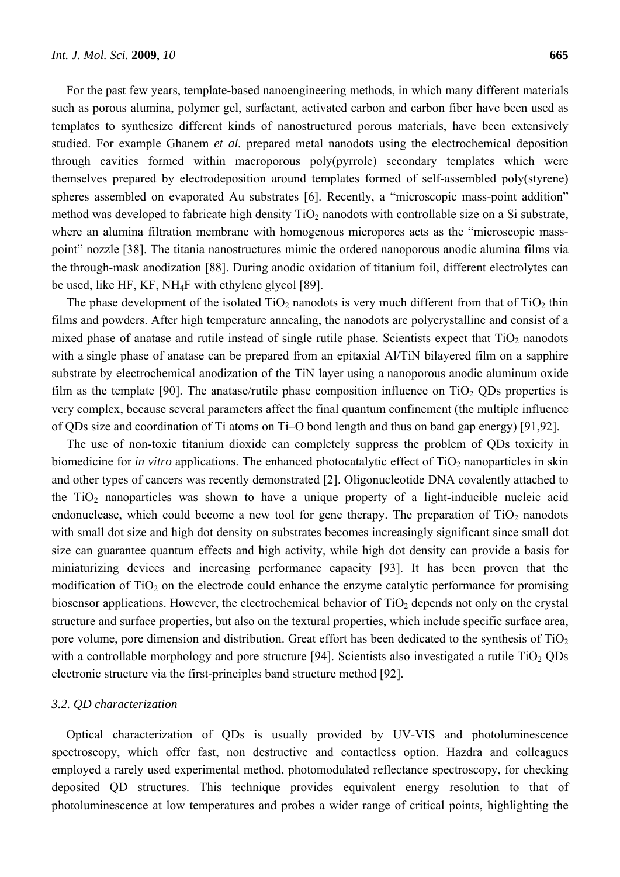For the past few years, template-based nanoengineering methods, in which many different materials such as porous alumina, polymer gel, surfactant, activated carbon and carbon fiber have been used as templates to synthesize different kinds of nanostructured porous materials, have been extensively studied. For example Ghanem *et al.* prepared metal nanodots using the electrochemical deposition through cavities formed within macroporous poly(pyrrole) secondary templates which were themselves prepared by electrodeposition around templates formed of self-assembled poly(styrene) spheres assembled on evaporated Au substrates [6]. Recently, a "microscopic mass-point addition" method was developed to fabricate high density  $TiO<sub>2</sub>$  nanodots with controllable size on a Si substrate, where an alumina filtration membrane with homogenous micropores acts as the "microscopic masspoint" nozzle [38]. The titania nanostructures mimic the ordered nanoporous anodic alumina films via the through-mask anodization [88]. During anodic oxidation of titanium foil, different electrolytes can be used, like HF, KF, NH4F with ethylene glycol [89].

The phase development of the isolated  $TiO<sub>2</sub>$  nanodots is very much different from that of  $TiO<sub>2</sub>$  thin films and powders. After high temperature annealing, the nanodots are polycrystalline and consist of a mixed phase of anatase and rutile instead of single rutile phase. Scientists expect that  $TiO<sub>2</sub>$  nanodots with a single phase of anatase can be prepared from an epitaxial Al/TiN bilayered film on a sapphire substrate by electrochemical anodization of the TiN layer using a nanoporous anodic aluminum oxide film as the template [90]. The anatase/rutile phase composition influence on  $TiO<sub>2</sub>$  QDs properties is very complex, because several parameters affect the final quantum confinement (the multiple influence of QDs size and coordination of Ti atoms on Ti–O bond length and thus on band gap energy) [91,92].

The use of non-toxic titanium dioxide can completely suppress the problem of QDs toxicity in biomedicine for *in vitro* applications. The enhanced photocatalytic effect of TiO<sub>2</sub> nanoparticles in skin and other types of cancers was recently demonstrated [2]. Oligonucleotide DNA covalently attached to the  $TiO<sub>2</sub>$  nanoparticles was shown to have a unique property of a light-inducible nucleic acid endonuclease, which could become a new tool for gene therapy. The preparation of  $TiO<sub>2</sub>$  nanodots with small dot size and high dot density on substrates becomes increasingly significant since small dot size can guarantee quantum effects and high activity, while high dot density can provide a basis for miniaturizing devices and increasing performance capacity [93]. It has been proven that the modification of  $TiO<sub>2</sub>$  on the electrode could enhance the enzyme catalytic performance for promising biosensor applications. However, the electrochemical behavior of  $TiO<sub>2</sub>$  depends not only on the crystal structure and surface properties, but also on the textural properties, which include specific surface area, pore volume, pore dimension and distribution. Great effort has been dedicated to the synthesis of  $TiO<sub>2</sub>$ with a controllable morphology and pore structure [94]. Scientists also investigated a rutile  $TiO<sub>2</sub>$  QDs electronic structure via the first-principles band structure method [92].

# *3.2. QD characterization*

Optical characterization of QDs is usually provided by UV-VIS and photoluminescence spectroscopy, which offer fast, non destructive and contactless option. Hazdra and colleagues employed a rarely used experimental method, photomodulated reflectance spectroscopy, for checking deposited QD structures. This technique provides equivalent energy resolution to that of photoluminescence at low temperatures and probes a wider range of critical points, highlighting the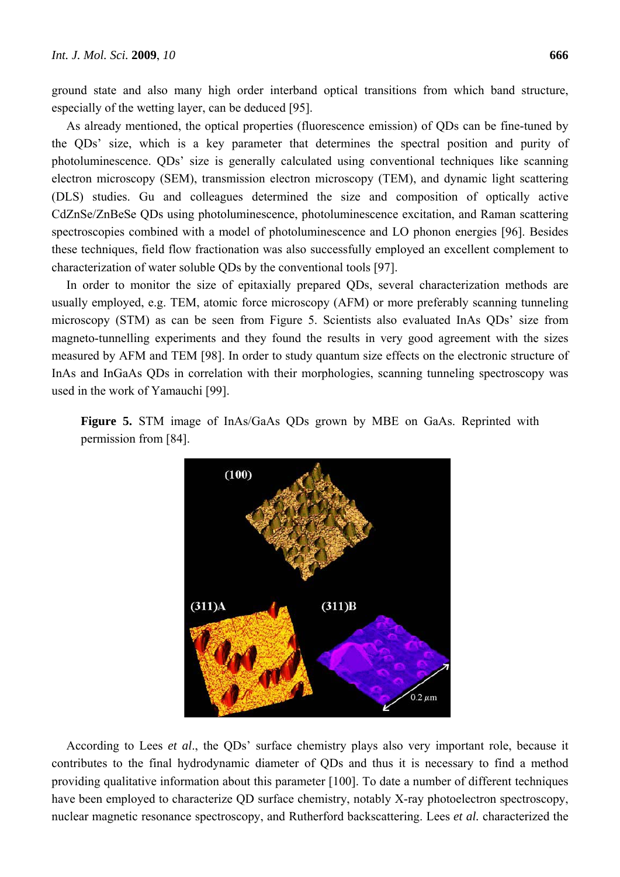ground state and also many high order interband optical transitions from which band structure, especially of the wetting layer, can be deduced [95].

As already mentioned, the optical properties (fluorescence emission) of QDs can be fine-tuned by the QDs' size, which is a key parameter that determines the spectral position and purity of photoluminescence. QDs' size is generally calculated using conventional techniques like scanning electron microscopy (SEM), transmission electron microscopy (TEM), and dynamic light scattering (DLS) studies. Gu and colleagues determined the size and composition of optically active CdZnSe/ZnBeSe QDs using photoluminescence, photoluminescence excitation, and Raman scattering spectroscopies combined with a model of photoluminescence and LO phonon energies [96]. Besides these techniques, field flow fractionation was also successfully employed an excellent complement to characterization of water soluble QDs by the conventional tools [97].

In order to monitor the size of epitaxially prepared QDs, several characterization methods are usually employed, e.g. TEM, atomic force microscopy (AFM) or more preferably scanning tunneling microscopy (STM) as can be seen from Figure 5. Scientists also evaluated InAs QDs' size from magneto-tunnelling experiments and they found the results in very good agreement with the sizes measured by AFM and TEM [98]. In order to study quantum size effects on the electronic structure of InAs and InGaAs QDs in correlation with their morphologies, scanning tunneling spectroscopy was used in the work of Yamauchi [99].





According to Lees *et al*., the QDs' surface chemistry plays also very important role, because it contributes to the final hydrodynamic diameter of QDs and thus it is necessary to find a method providing qualitative information about this parameter [100]. To date a number of different techniques have been employed to characterize QD surface chemistry, notably X-ray photoelectron spectroscopy, nuclear magnetic resonance spectroscopy, and Rutherford backscattering. Lees *et al.* characterized the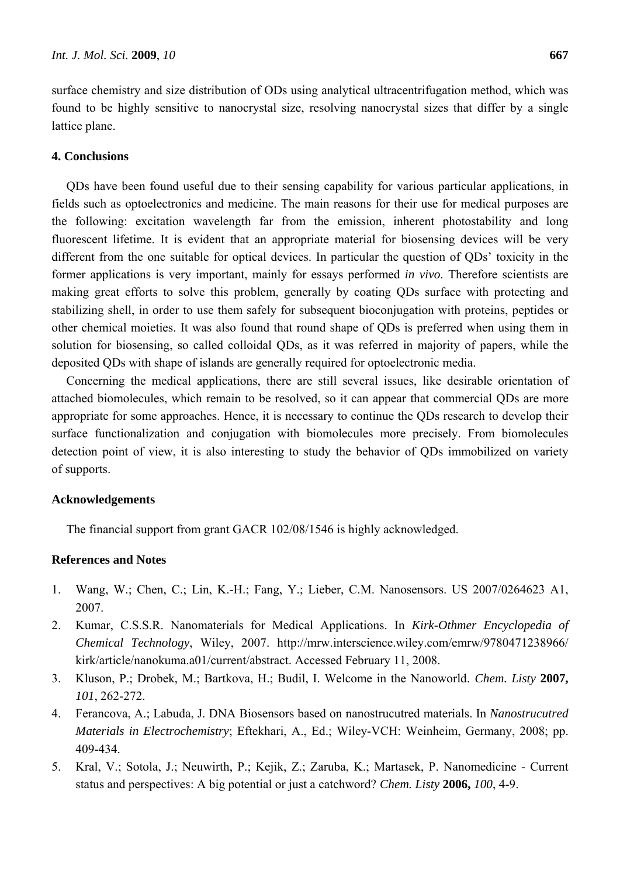surface chemistry and size distribution of ODs using analytical ultracentrifugation method, which was found to be highly sensitive to nanocrystal size, resolving nanocrystal sizes that differ by a single lattice plane.

# **4. Conclusions**

QDs have been found useful due to their sensing capability for various particular applications, in fields such as optoelectronics and medicine. The main reasons for their use for medical purposes are the following: excitation wavelength far from the emission, inherent photostability and long fluorescent lifetime. It is evident that an appropriate material for biosensing devices will be very different from the one suitable for optical devices. In particular the question of QDs' toxicity in the former applications is very important, mainly for essays performed *in vivo*. Therefore scientists are making great efforts to solve this problem, generally by coating QDs surface with protecting and stabilizing shell, in order to use them safely for subsequent bioconjugation with proteins, peptides or other chemical moieties. It was also found that round shape of QDs is preferred when using them in solution for biosensing, so called colloidal QDs, as it was referred in majority of papers, while the deposited QDs with shape of islands are generally required for optoelectronic media.

Concerning the medical applications, there are still several issues, like desirable orientation of attached biomolecules, which remain to be resolved, so it can appear that commercial QDs are more appropriate for some approaches. Hence, it is necessary to continue the QDs research to develop their surface functionalization and conjugation with biomolecules more precisely. From biomolecules detection point of view, it is also interesting to study the behavior of QDs immobilized on variety of supports.

# **Acknowledgements**

The financial support from grant GACR 102/08/1546 is highly acknowledged.

# **References and Notes**

- 1. Wang, W.; Chen, C.; Lin, K.-H.; Fang, Y.; Lieber, C.M. Nanosensors. US 2007/0264623 A1, 2007.
- 2. Kumar, C.S.S.R. Nanomaterials for Medical Applications. In *Kirk-Othmer Encyclopedia of Chemical Technology*, Wiley, 2007. http://mrw.interscience.wiley.com/emrw/9780471238966/ kirk/article/nanokuma.a01/current/abstract. Accessed February 11, 2008.
- 3. Kluson, P.; Drobek, M.; Bartkova, H.; Budil, I. Welcome in the Nanoworld. *Chem. Listy* **2007,** *101*, 262-272.
- 4. Ferancova, A.; Labuda, J. DNA Biosensors based on nanostrucutred materials. In *Nanostrucutred Materials in Electrochemistry*; Eftekhari, A., Ed.; Wiley-VCH: Weinheim, Germany, 2008; pp. 409-434.
- 5. Kral, V.; Sotola, J.; Neuwirth, P.; Kejik, Z.; Zaruba, K.; Martasek, P. Nanomedicine Current status and perspectives: A big potential or just a catchword? *Chem. Listy* **2006,** *100*, 4-9.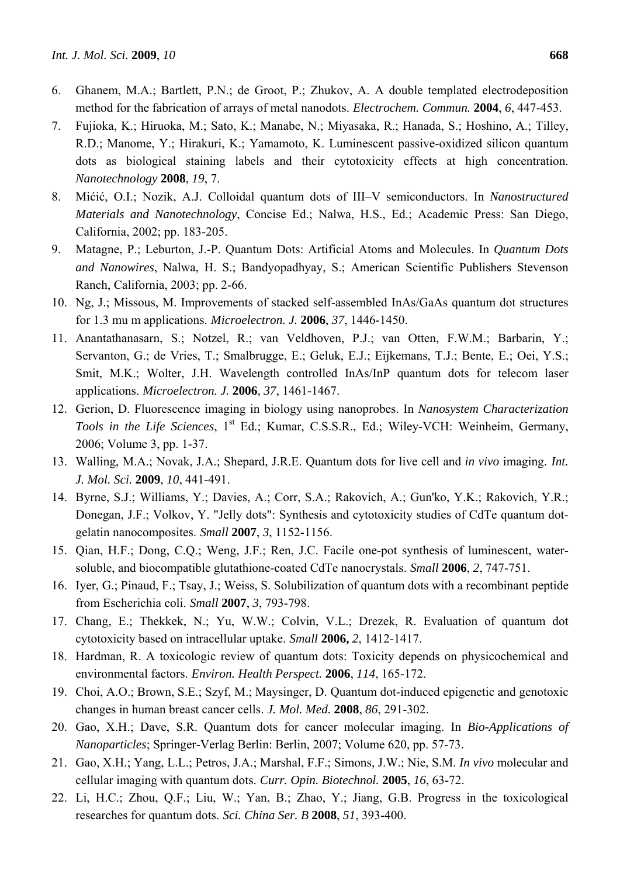- 6. Ghanem, M.A.; Bartlett, P.N.; de Groot, P.; Zhukov, A. A double templated electrodeposition method for the fabrication of arrays of metal nanodots. *Electrochem. Commun.* **2004**, *6*, 447-453.
- 7. Fujioka, K.; Hiruoka, M.; Sato, K.; Manabe, N.; Miyasaka, R.; Hanada, S.; Hoshino, A.; Tilley, R.D.; Manome, Y.; Hirakuri, K.; Yamamoto, K. Luminescent passive-oxidized silicon quantum dots as biological staining labels and their cytotoxicity effects at high concentration. *Nanotechnology* **2008**, *19*, 7.
- 8. Mićić, O.I.; Nozik, A.J. Colloidal quantum dots of III–V semiconductors. In *Nanostructured Materials and Nanotechnology*, Concise Ed.; Nalwa, H.S., Ed.; Academic Press: San Diego, California, 2002; pp. 183-205.
- 9. Matagne, P.; Leburton, J.-P. Quantum Dots: Artificial Atoms and Molecules. In *Quantum Dots and Nanowires*, Nalwa, H. S.; Bandyopadhyay, S.; American Scientific Publishers Stevenson Ranch, California, 2003; pp. 2-66.
- 10. Ng, J.; Missous, M. Improvements of stacked self-assembled InAs/GaAs quantum dot structures for 1.3 mu m applications. *Microelectron. J.* **2006**, *37*, 1446-1450.
- 11. Anantathanasarn, S.; Notzel, R.; van Veldhoven, P.J.; van Otten, F.W.M.; Barbarin, Y.; Servanton, G.; de Vries, T.; Smalbrugge, E.; Geluk, E.J.; Eijkemans, T.J.; Bente, E.; Oei, Y.S.; Smit, M.K.; Wolter, J.H. Wavelength controlled InAs/InP quantum dots for telecom laser applications. *Microelectron. J.* **2006**, *37*, 1461-1467.
- 12. Gerion, D. Fluorescence imaging in biology using nanoprobes. In *Nanosystem Characterization Tools in the Life Sciences*, 1<sup>st</sup> Ed.; Kumar, C.S.S.R., Ed.; Wiley-VCH: Weinheim, Germany, 2006; Volume 3, pp. 1-37.
- 13. Walling, M.A.; Novak, J.A.; Shepard, J.R.E. Quantum dots for live cell and *in vivo* imaging. *Int. J. Mol. Sci.* **2009**, *10*, 441-491.
- 14. Byrne, S.J.; Williams, Y.; Davies, A.; Corr, S.A.; Rakovich, A.; Gun'ko, Y.K.; Rakovich, Y.R.; Donegan, J.F.; Volkov, Y. "Jelly dots": Synthesis and cytotoxicity studies of CdTe quantum dotgelatin nanocomposites. *Small* **2007**, *3*, 1152-1156.
- 15. Qian, H.F.; Dong, C.Q.; Weng, J.F.; Ren, J.C. Facile one-pot synthesis of luminescent, watersoluble, and biocompatible glutathione-coated CdTe nanocrystals. *Small* **2006**, *2*, 747-751.
- 16. Iyer, G.; Pinaud, F.; Tsay, J.; Weiss, S. Solubilization of quantum dots with a recombinant peptide from Escherichia coli. *Small* **2007**, *3*, 793-798.
- 17. Chang, E.; Thekkek, N.; Yu, W.W.; Colvin, V.L.; Drezek, R. Evaluation of quantum dot cytotoxicity based on intracellular uptake. *Small* **2006,** *2*, 1412-1417.
- 18. Hardman, R. A toxicologic review of quantum dots: Toxicity depends on physicochemical and environmental factors. *Environ. Health Perspect.* **2006**, *114*, 165-172.
- 19. Choi, A.O.; Brown, S.E.; Szyf, M.; Maysinger, D. Quantum dot-induced epigenetic and genotoxic changes in human breast cancer cells. *J. Mol. Med.* **2008**, *86*, 291-302.
- 20. Gao, X.H.; Dave, S.R. Quantum dots for cancer molecular imaging. In *Bio-Applications of Nanoparticles*; Springer-Verlag Berlin: Berlin, 2007; Volume 620, pp. 57-73.
- 21. Gao, X.H.; Yang, L.L.; Petros, J.A.; Marshal, F.F.; Simons, J.W.; Nie, S.M. *In vivo* molecular and cellular imaging with quantum dots. *Curr. Opin. Biotechnol.* **2005**, *16*, 63-72.
- 22. Li, H.C.; Zhou, Q.F.; Liu, W.; Yan, B.; Zhao, Y.; Jiang, G.B. Progress in the toxicological researches for quantum dots. *Sci. China Ser. B* **2008**, *51*, 393-400.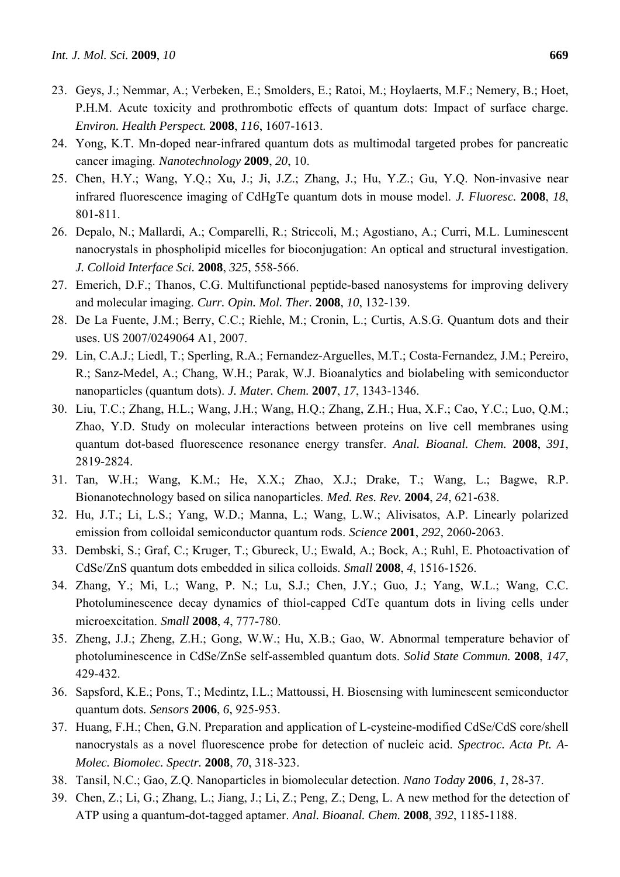- 23. Geys, J.; Nemmar, A.; Verbeken, E.; Smolders, E.; Ratoi, M.; Hoylaerts, M.F.; Nemery, B.; Hoet, P.H.M. Acute toxicity and prothrombotic effects of quantum dots: Impact of surface charge. *Environ. Health Perspect.* **2008**, *116*, 1607-1613.
- 24. Yong, K.T. Mn-doped near-infrared quantum dots as multimodal targeted probes for pancreatic cancer imaging. *Nanotechnology* **2009**, *20*, 10.
- 25. Chen, H.Y.; Wang, Y.Q.; Xu, J.; Ji, J.Z.; Zhang, J.; Hu, Y.Z.; Gu, Y.Q. Non-invasive near infrared fluorescence imaging of CdHgTe quantum dots in mouse model. *J. Fluoresc.* **2008**, *18*, 801-811.
- 26. Depalo, N.; Mallardi, A.; Comparelli, R.; Striccoli, M.; Agostiano, A.; Curri, M.L. Luminescent nanocrystals in phospholipid micelles for bioconjugation: An optical and structural investigation. *J. Colloid Interface Sci.* **2008**, *325*, 558-566.
- 27. Emerich, D.F.; Thanos, C.G. Multifunctional peptide-based nanosystems for improving delivery and molecular imaging. *Curr. Opin. Mol. Ther.* **2008**, *10*, 132-139.
- 28. De La Fuente, J.M.; Berry, C.C.; Riehle, M.; Cronin, L.; Curtis, A.S.G. Quantum dots and their uses. US 2007/0249064 A1, 2007.
- 29. Lin, C.A.J.; Liedl, T.; Sperling, R.A.; Fernandez-Arguelles, M.T.; Costa-Fernandez, J.M.; Pereiro, R.; Sanz-Medel, A.; Chang, W.H.; Parak, W.J. Bioanalytics and biolabeling with semiconductor nanoparticles (quantum dots). *J. Mater. Chem.* **2007**, *17*, 1343-1346.
- 30. Liu, T.C.; Zhang, H.L.; Wang, J.H.; Wang, H.Q.; Zhang, Z.H.; Hua, X.F.; Cao, Y.C.; Luo, Q.M.; Zhao, Y.D. Study on molecular interactions between proteins on live cell membranes using quantum dot-based fluorescence resonance energy transfer. *Anal. Bioanal. Chem.* **2008**, *391*, 2819-2824.
- 31. Tan, W.H.; Wang, K.M.; He, X.X.; Zhao, X.J.; Drake, T.; Wang, L.; Bagwe, R.P. Bionanotechnology based on silica nanoparticles. *Med. Res. Rev.* **2004**, *24*, 621-638.
- 32. Hu, J.T.; Li, L.S.; Yang, W.D.; Manna, L.; Wang, L.W.; Alivisatos, A.P. Linearly polarized emission from colloidal semiconductor quantum rods. *Science* **2001**, *292*, 2060-2063.
- 33. Dembski, S.; Graf, C.; Kruger, T.; Gbureck, U.; Ewald, A.; Bock, A.; Ruhl, E. Photoactivation of CdSe/ZnS quantum dots embedded in silica colloids. *Small* **2008**, *4*, 1516-1526.
- 34. Zhang, Y.; Mi, L.; Wang, P. N.; Lu, S.J.; Chen, J.Y.; Guo, J.; Yang, W.L.; Wang, C.C. Photoluminescence decay dynamics of thiol-capped CdTe quantum dots in living cells under microexcitation. *Small* **2008**, *4*, 777-780.
- 35. Zheng, J.J.; Zheng, Z.H.; Gong, W.W.; Hu, X.B.; Gao, W. Abnormal temperature behavior of photoluminescence in CdSe/ZnSe self-assembled quantum dots. *Solid State Commun.* **2008**, *147*, 429-432.
- 36. Sapsford, K.E.; Pons, T.; Medintz, I.L.; Mattoussi, H. Biosensing with luminescent semiconductor quantum dots. *Sensors* **2006**, *6*, 925-953.
- 37. Huang, F.H.; Chen, G.N. Preparation and application of L-cysteine-modified CdSe/CdS core/shell nanocrystals as a novel fluorescence probe for detection of nucleic acid. *Spectroc. Acta Pt. A-Molec. Biomolec. Spectr.* **2008**, *70*, 318-323.
- 38. Tansil, N.C.; Gao, Z.Q. Nanoparticles in biomolecular detection. *Nano Today* **2006**, *1*, 28-37.
- 39. Chen, Z.; Li, G.; Zhang, L.; Jiang, J.; Li, Z.; Peng, Z.; Deng, L. A new method for the detection of ATP using a quantum-dot-tagged aptamer. *Anal. Bioanal. Chem.* **2008**, *392*, 1185-1188.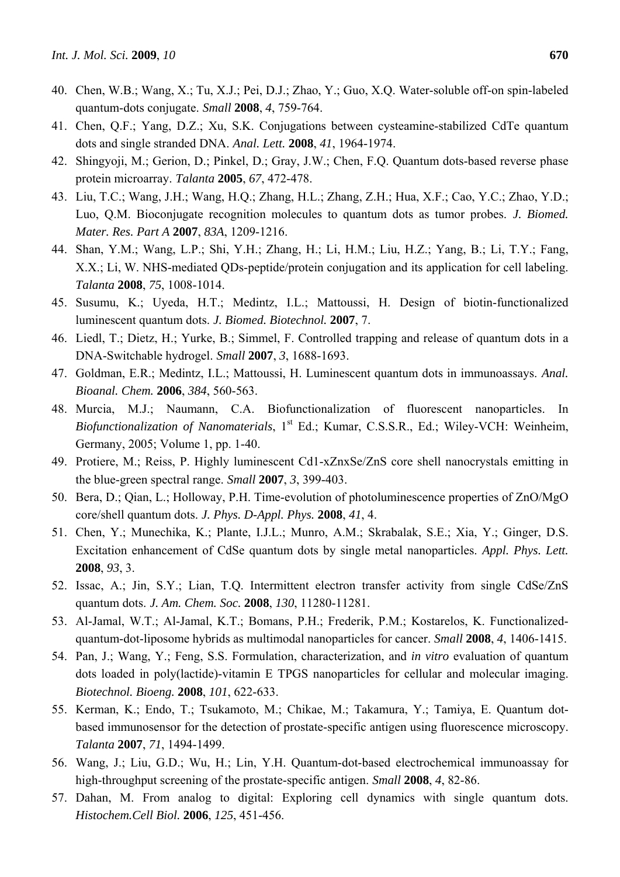- 40. Chen, W.B.; Wang, X.; Tu, X.J.; Pei, D.J.; Zhao, Y.; Guo, X.Q. Water-soluble off-on spin-labeled quantum-dots conjugate. *Small* **2008**, *4*, 759-764.
- 41. Chen, Q.F.; Yang, D.Z.; Xu, S.K. Conjugations between cysteamine-stabilized CdTe quantum dots and single stranded DNA. *Anal. Lett.* **2008**, *41*, 1964-1974.
- 42. Shingyoji, M.; Gerion, D.; Pinkel, D.; Gray, J.W.; Chen, F.Q. Quantum dots-based reverse phase protein microarray. *Talanta* **2005**, *67*, 472-478.
- 43. Liu, T.C.; Wang, J.H.; Wang, H.Q.; Zhang, H.L.; Zhang, Z.H.; Hua, X.F.; Cao, Y.C.; Zhao, Y.D.; Luo, Q.M. Bioconjugate recognition molecules to quantum dots as tumor probes. *J. Biomed. Mater. Res. Part A* **2007**, *83A*, 1209-1216.
- 44. Shan, Y.M.; Wang, L.P.; Shi, Y.H.; Zhang, H.; Li, H.M.; Liu, H.Z.; Yang, B.; Li, T.Y.; Fang, X.X.; Li, W. NHS-mediated QDs-peptide/protein conjugation and its application for cell labeling. *Talanta* **2008**, *75*, 1008-1014.
- 45. Susumu, K.; Uyeda, H.T.; Medintz, I.L.; Mattoussi, H. Design of biotin-functionalized luminescent quantum dots. *J. Biomed. Biotechnol.* **2007**, 7.
- 46. Liedl, T.; Dietz, H.; Yurke, B.; Simmel, F. Controlled trapping and release of quantum dots in a DNA-Switchable hydrogel. *Small* **2007**, *3*, 1688-1693.
- 47. Goldman, E.R.; Medintz, I.L.; Mattoussi, H. Luminescent quantum dots in immunoassays. *Anal. Bioanal. Chem.* **2006**, *384*, 560-563.
- 48. Murcia, M.J.; Naumann, C.A. Biofunctionalization of fluorescent nanoparticles. In *Biofunctionalization of Nanomaterials*, 1<sup>st</sup> Ed.; Kumar, C.S.S.R., Ed.; Wiley-VCH: Weinheim, Germany, 2005; Volume 1, pp. 1-40.
- 49. Protiere, M.; Reiss, P. Highly luminescent Cd1-xZnxSe/ZnS core shell nanocrystals emitting in the blue-green spectral range. *Small* **2007**, *3*, 399-403.
- 50. Bera, D.; Qian, L.; Holloway, P.H. Time-evolution of photoluminescence properties of ZnO/MgO core/shell quantum dots. *J. Phys. D-Appl. Phys.* **2008**, *41*, 4.
- 51. Chen, Y.; Munechika, K.; Plante, I.J.L.; Munro, A.M.; Skrabalak, S.E.; Xia, Y.; Ginger, D.S. Excitation enhancement of CdSe quantum dots by single metal nanoparticles. *Appl. Phys. Lett.*  **2008**, *93*, 3.
- 52. Issac, A.; Jin, S.Y.; Lian, T.Q. Intermittent electron transfer activity from single CdSe/ZnS quantum dots. *J. Am. Chem. Soc.* **2008**, *130*, 11280-11281.
- 53. Al-Jamal, W.T.; Al-Jamal, K.T.; Bomans, P.H.; Frederik, P.M.; Kostarelos, K. Functionalizedquantum-dot-liposome hybrids as multimodal nanoparticles for cancer. *Small* **2008**, *4*, 1406-1415.
- 54. Pan, J.; Wang, Y.; Feng, S.S. Formulation, characterization, and *in vitro* evaluation of quantum dots loaded in poly(lactide)-vitamin E TPGS nanoparticles for cellular and molecular imaging. *Biotechnol. Bioeng.* **2008**, *101*, 622-633.
- 55. Kerman, K.; Endo, T.; Tsukamoto, M.; Chikae, M.; Takamura, Y.; Tamiya, E. Quantum dotbased immunosensor for the detection of prostate-specific antigen using fluorescence microscopy. *Talanta* **2007**, *71*, 1494-1499.
- 56. Wang, J.; Liu, G.D.; Wu, H.; Lin, Y.H. Quantum-dot-based electrochemical immunoassay for high-throughput screening of the prostate-specific antigen. *Small* **2008**, *4*, 82-86.
- 57. Dahan, M. From analog to digital: Exploring cell dynamics with single quantum dots. *Histochem.Cell Biol.* **2006**, *125*, 451-456.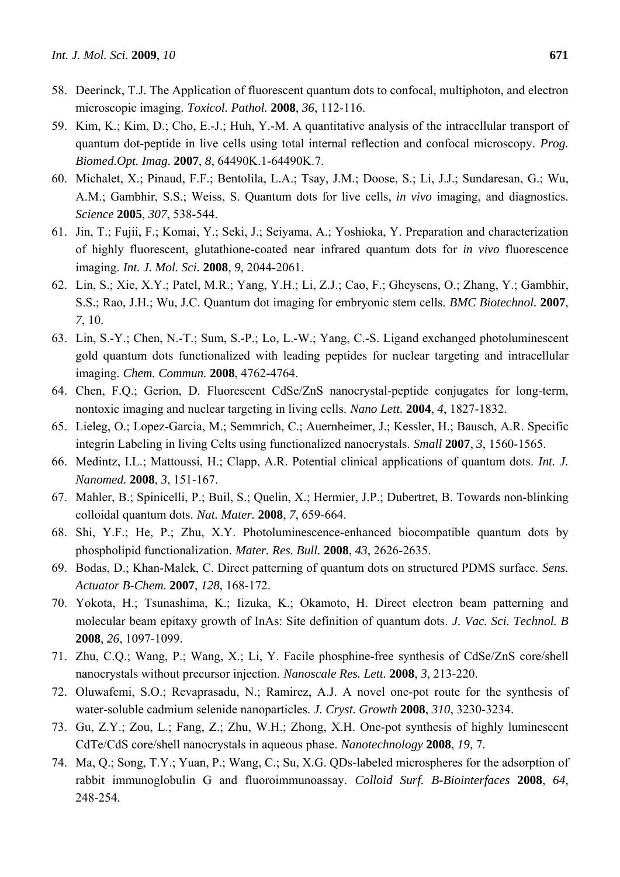- 58. Deerinck, T.J. The Application of fluorescent quantum dots to confocal, multiphoton, and electron microscopic imaging. *Toxicol. Pathol.* **2008**, *36*, 112-116.
- 59. Kim, K.; Kim, D.; Cho, E.-J.; Huh, Y.-M. A quantitative analysis of the intracellular transport of quantum dot-peptide in live cells using total internal reflection and confocal microscopy. *Prog. Biomed.Opt. Imag.* **2007**, *8*, 64490K.1-64490K.7.
- 60. Michalet, X.; Pinaud, F.F.; Bentolila, L.A.; Tsay, J.M.; Doose, S.; Li, J.J.; Sundaresan, G.; Wu, A.M.; Gambhir, S.S.; Weiss, S. Quantum dots for live cells, *in vivo* imaging, and diagnostics. *Science* **2005**, *307*, 538-544.
- 61. Jin, T.; Fujii, F.; Komai, Y.; Seki, J.; Seiyama, A.; Yoshioka, Y. Preparation and characterization of highly fluorescent, glutathione-coated near infrared quantum dots for *in vivo* fluorescence imaging. *Int. J. Mol. Sci.* **2008**, *9*, 2044-2061.
- 62. Lin, S.; Xie, X.Y.; Patel, M.R.; Yang, Y.H.; Li, Z.J.; Cao, F.; Gheysens, O.; Zhang, Y.; Gambhir, S.S.; Rao, J.H.; Wu, J.C. Quantum dot imaging for embryonic stem cells. *BMC Biotechnol.* **2007**, *7*, 10.
- 63. Lin, S.-Y.; Chen, N.-T.; Sum, S.-P.; Lo, L.-W.; Yang, C.-S. Ligand exchanged photoluminescent gold quantum dots functionalized with leading peptides for nuclear targeting and intracellular imaging. *Chem. Commun.* **2008**, 4762-4764.
- 64. Chen, F.Q.; Gerion, D. Fluorescent CdSe/ZnS nanocrystal-peptide conjugates for long-term, nontoxic imaging and nuclear targeting in living cells. *Nano Lett.* **2004**, *4*, 1827-1832.
- 65. Lieleg, O.; Lopez-Garcia, M.; Semmrich, C.; Auernheimer, J.; Kessler, H.; Bausch, A.R. Specific integrin Labeling in living Celts using functionalized nanocrystals. *Small* **2007**, *3*, 1560-1565.
- 66. Medintz, I.L.; Mattoussi, H.; Clapp, A.R. Potential clinical applications of quantum dots. *Int. J. Nanomed.* **2008**, *3*, 151-167.
- 67. Mahler, B.; Spinicelli, P.; Buil, S.; Quelin, X.; Hermier, J.P.; Dubertret, B. Towards non-blinking colloidal quantum dots. *Nat. Mater.* **2008**, *7*, 659-664.
- 68. Shi, Y.F.; He, P.; Zhu, X.Y. Photoluminescence-enhanced biocompatible quantum dots by phospholipid functionalization. *Mater. Res. Bull.* **2008**, *43*, 2626-2635.
- 69. Bodas, D.; Khan-Malek, C. Direct patterning of quantum dots on structured PDMS surface. *Sens. Actuator B-Chem.* **2007**, *128*, 168-172.
- 70. Yokota, H.; Tsunashima, K.; Iizuka, K.; Okamoto, H. Direct electron beam patterning and molecular beam epitaxy growth of InAs: Site definition of quantum dots. *J. Vac. Sci. Technol. B*  **2008**, *26*, 1097-1099.
- 71. Zhu, C.Q.; Wang, P.; Wang, X.; Li, Y. Facile phosphine-free synthesis of CdSe/ZnS core/shell nanocrystals without precursor injection. *Nanoscale Res. Lett.* **2008**, *3*, 213-220.
- 72. Oluwafemi, S.O.; Revaprasadu, N.; Ramirez, A.J. A novel one-pot route for the synthesis of water-soluble cadmium selenide nanoparticles. *J. Cryst. Growth* **2008**, *310*, 3230-3234.
- 73. Gu, Z.Y.; Zou, L.; Fang, Z.; Zhu, W.H.; Zhong, X.H. One-pot synthesis of highly luminescent CdTe/CdS core/shell nanocrystals in aqueous phase. *Nanotechnology* **2008**, *19*, 7.
- 74. Ma, Q.; Song, T.Y.; Yuan, P.; Wang, C.; Su, X.G. QDs-labeled microspheres for the adsorption of rabbit immunoglobulin G and fluoroimmunoassay. *Colloid Surf. B-Biointerfaces* **2008**, *64*, 248-254.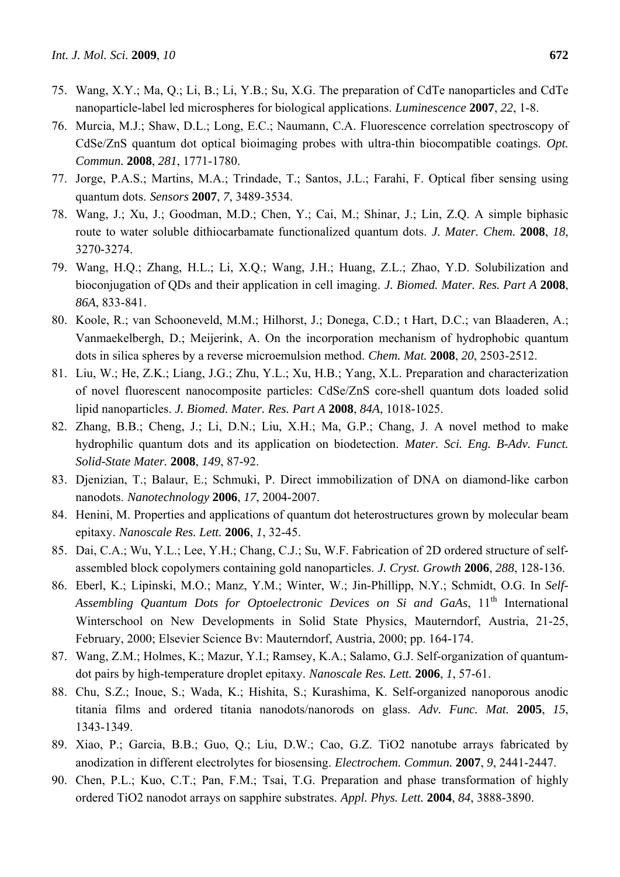- 75. Wang, X.Y.; Ma, Q.; Li, B.; Li, Y.B.; Su, X.G. The preparation of CdTe nanoparticles and CdTe nanoparticle-label led microspheres for biological applications. *Luminescence* **2007**, *22*, 1-8.
- 76. Murcia, M.J.; Shaw, D.L.; Long, E.C.; Naumann, C.A. Fluorescence correlation spectroscopy of CdSe/ZnS quantum dot optical bioimaging probes with ultra-thin biocompatible coatings. *Opt. Commun.* **2008**, *281*, 1771-1780.
- 77. Jorge, P.A.S.; Martins, M.A.; Trindade, T.; Santos, J.L.; Farahi, F. Optical fiber sensing using quantum dots. *Sensors* **2007**, *7*, 3489-3534.
- 78. Wang, J.; Xu, J.; Goodman, M.D.; Chen, Y.; Cai, M.; Shinar, J.; Lin, Z.Q. A simple biphasic route to water soluble dithiocarbamate functionalized quantum dots. *J. Mater. Chem.* **2008**, *18*, 3270-3274.
- 79. Wang, H.Q.; Zhang, H.L.; Li, X.Q.; Wang, J.H.; Huang, Z.L.; Zhao, Y.D. Solubilization and bioconjugation of QDs and their application in cell imaging. *J. Biomed. Mater. Res. Part A* **2008**, *86A*, 833-841.
- 80. Koole, R.; van Schooneveld, M.M.; Hilhorst, J.; Donega, C.D.; t Hart, D.C.; van Blaaderen, A.; Vanmaekelbergh, D.; Meijerink, A. On the incorporation mechanism of hydrophobic quantum dots in silica spheres by a reverse microemulsion method. *Chem. Mat.* **2008**, *20*, 2503-2512.
- 81. Liu, W.; He, Z.K.; Liang, J.G.; Zhu, Y.L.; Xu, H.B.; Yang, X.L. Preparation and characterization of novel fluorescent nanocomposite particles: CdSe/ZnS core-shell quantum dots loaded solid lipid nanoparticles. *J. Biomed. Mater. Res. Part A* **2008**, *84A*, 1018-1025.
- 82. Zhang, B.B.; Cheng, J.; Li, D.N.; Liu, X.H.; Ma, G.P.; Chang, J. A novel method to make hydrophilic quantum dots and its application on biodetection. *Mater. Sci. Eng. B-Adv. Funct. Solid-State Mater.* **2008**, *149*, 87-92.
- 83. Djenizian, T.; Balaur, E.; Schmuki, P. Direct immobilization of DNA on diamond-like carbon nanodots. *Nanotechnology* **2006**, *17*, 2004-2007.
- 84. Henini, M. Properties and applications of quantum dot heterostructures grown by molecular beam epitaxy. *Nanoscale Res. Lett.* **2006**, *1*, 32-45.
- 85. Dai, C.A.; Wu, Y.L.; Lee, Y.H.; Chang, C.J.; Su, W.F. Fabrication of 2D ordered structure of selfassembled block copolymers containing gold nanoparticles. *J. Cryst. Growth* **2006**, *288*, 128-136.
- 86. Eberl, K.; Lipinski, M.O.; Manz, Y.M.; Winter, W.; Jin-Phillipp, N.Y.; Schmidt, O.G. In *Self-Assembling Quantum Dots for Optoelectronic Devices on Si and GaAs*, 11<sup>th</sup> International Winterschool on New Developments in Solid State Physics, Mauterndorf, Austria, 21-25, February, 2000; Elsevier Science Bv: Mauterndorf, Austria, 2000; pp. 164-174.
- 87. Wang, Z.M.; Holmes, K.; Mazur, Y.I.; Ramsey, K.A.; Salamo, G.J. Self-organization of quantumdot pairs by high-temperature droplet epitaxy. *Nanoscale Res. Lett.* **2006**, *1*, 57-61.
- 88. Chu, S.Z.; Inoue, S.; Wada, K.; Hishita, S.; Kurashima, K. Self-organized nanoporous anodic titania films and ordered titania nanodots/nanorods on glass. *Adv. Func. Mat.* **2005**, *15*, 1343-1349.
- 89. Xiao, P.; Garcia, B.B.; Guo, Q.; Liu, D.W.; Cao, G.Z. TiO2 nanotube arrays fabricated by anodization in different electrolytes for biosensing. *Electrochem. Commun.* **2007**, *9*, 2441-2447.
- 90. Chen, P.L.; Kuo, C.T.; Pan, F.M.; Tsai, T.G. Preparation and phase transformation of highly ordered TiO2 nanodot arrays on sapphire substrates. *Appl. Phys. Lett.* **2004**, *84*, 3888-3890.